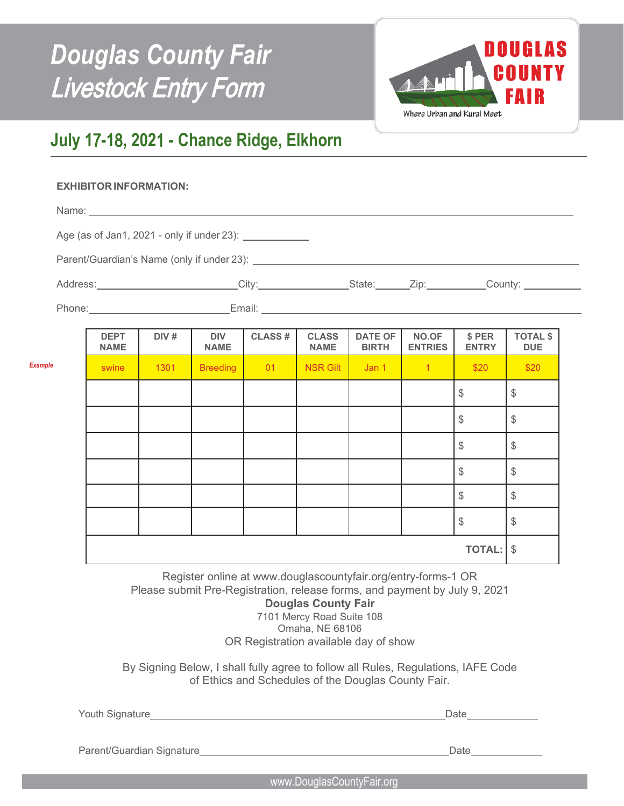

## **July 1**7**-1**8**, 202**1 **- Chance Ridge, Elkhorn**

## **EXHIBITOR INFORMATION:**

*Example*

| Age (as of Jan1, 2021 - only if under 23): _______________                                                                                                                                                                     |             |         |             |            |  |                        |                 |                         |
|--------------------------------------------------------------------------------------------------------------------------------------------------------------------------------------------------------------------------------|-------------|---------|-------------|------------|--|------------------------|-----------------|-------------------------|
|                                                                                                                                                                                                                                |             |         |             |            |  |                        |                 |                         |
| Address: City: City: State: Zip: County: County:                                                                                                                                                                               |             |         |             |            |  |                        |                 |                         |
| Phone: Email: Email: Email: Email: Email: Email: Email: Email: Email: Email: Email: Email: Email: Email: Email: Email: Email: Email: Email: Email: Email: Email: Email: Email: Email: Email: Email: Email: Email: Email: Email |             |         |             |            |  |                        |                 |                         |
|                                                                                                                                                                                                                                | <b>DEDT</b> | N N / H | <b>DIVE</b> | $\sqrt{2}$ |  | $CIACA$ $RATCAT$ $NCA$ | $^{\circ}$ DED. | $T$ $T$ $T$ $A$ $I$ $A$ |

| <b>DEPT</b><br><b>NAME</b> | DIV# | <b>DIV</b><br><b>NAME</b> | <b>CLASS#</b> | <b>CLASS</b><br><b>NAME</b> | <b>DATE OF</b><br><b>BIRTH</b> | <b>NO.OF</b><br><b>ENTRIES</b> | \$ PER<br><b>ENTRY</b> | <b>TOTAL \$</b><br><b>DUE</b> |
|----------------------------|------|---------------------------|---------------|-----------------------------|--------------------------------|--------------------------------|------------------------|-------------------------------|
| swine                      | 1301 | <b>Breeding</b>           | 01            | <b>NSR Gilt</b>             | Jan 1                          | $\overline{1}$                 | \$20                   | \$20                          |
|                            |      |                           |               |                             |                                |                                | $\frac{1}{2}$          | $\frac{1}{2}$                 |
|                            |      |                           |               |                             |                                |                                | $\frac{1}{2}$          | $\frac{1}{2}$                 |
|                            |      |                           |               |                             |                                |                                | $\frac{1}{2}$          | $\frac{1}{2}$                 |
|                            |      |                           |               |                             |                                |                                | $\frac{1}{2}$          | $\frac{1}{2}$                 |
|                            |      |                           |               |                             |                                |                                | $\frac{1}{2}$          | $\$\$                         |
|                            |      |                           |               |                             |                                |                                | $\frac{1}{2}$          | $\frac{1}{2}$                 |
|                            |      |                           |               |                             |                                |                                | <b>TOTAL:</b>          | $\sqrt[6]{\frac{1}{2}}$       |

Register online at www.douglascountyfair.org/entry-forms-1 OR Please submit Pre-Registration, release forms, and payment by July 9, 2021

**Douglas County Fair**  7101 Mercy Road Suite 108 Omaha, NE 68106 OR Registration available day of show

By Signing Below, I shall fully agree to follow all Rules, Regulations, IAFE Code of Ethics and Schedules of the Douglas County Fair.

| Youth Signature |  |
|-----------------|--|
|                 |  |

Parent/Guardian Signature Date Date Date Date Date Date

www.DouglasCountyFair.org